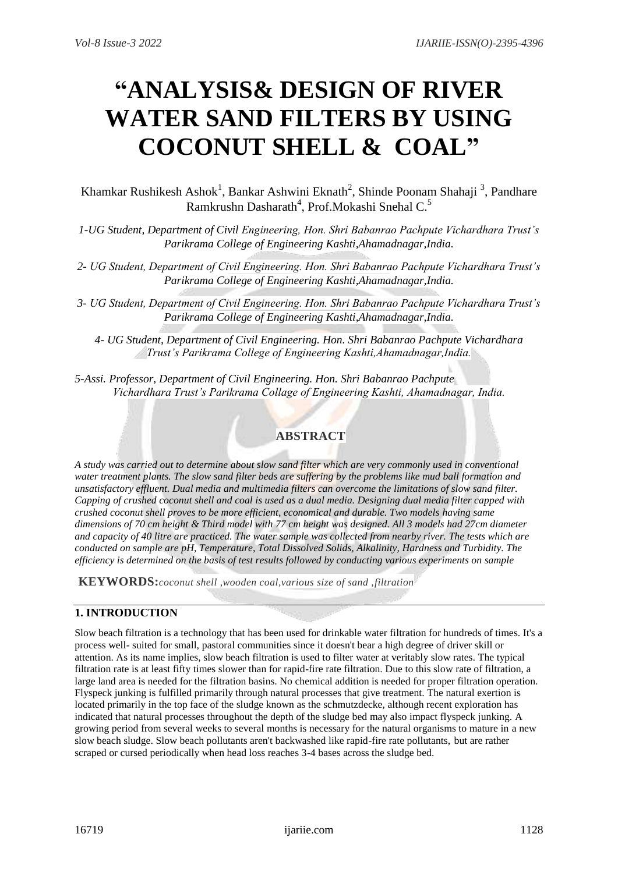# **"ANALYSIS& DESIGN OF RIVER WATER SAND FILTERS BY USING COCONUT SHELL & COAL"**

Khamkar Rushikesh Ashok<sup>1</sup>, Bankar Ashwini Eknath<sup>2</sup>, Shinde Poonam Shahaji<sup>3</sup>, Pandhare Ramkrushn Dasharath<sup>4</sup>, Prof.Mokashi Snehal C.<sup>5</sup>

- *1-UG Student, Department of Civil Engineering, Hon. Shri Babanrao Pachpute Vichardhara Trust's Parikrama College of Engineering Kashti,Ahamadnagar,India.*
- *2- UG Student, Department of Civil Engineering. Hon. Shri Babanrao Pachpute Vichardhara Trust's Parikrama College of Engineering Kashti,Ahamadnagar,India.*
- *3- UG Student, Department of Civil Engineering. Hon. Shri Babanrao Pachpute Vichardhara Trust's Parikrama College of Engineering Kashti,Ahamadnagar,India.*
	- *4- UG Student, Department of Civil Engineering. Hon. Shri Babanrao Pachpute Vichardhara Trust's Parikrama College of Engineering Kashti,Ahamadnagar,India.*

*5-Assi. Professor, Department of Civil Engineering. Hon. Shri Babanrao Pachpute Vichardhara Trust's Parikrama Collage of Engineering Kashti, Ahamadnagar, India.*

# **ABSTRACT**

*A study was carried out to determine about slow sand filter which are very commonly used in conventional water treatment plants. The slow sand filter beds are suffering by the problems like mud ball formation and unsatisfactory effluent. Dual media and multimedia filters can overcome the limitations of slow sand filter. Capping of crushed coconut shell and coal is used as a dual media. Designing dual media filter capped with crushed coconut shell proves to be more efficient, economical and durable. Two models having same dimensions of 70 cm height & Third model with 77 cm height was designed. All 3 models had 27cm diameter and capacity of 40 litre are practiced. The water sample was collected from nearby river. The tests which are conducted on sample are pH, Temperature, Total Dissolved Solids, Alkalinity, Hardness and Turbidity. The efficiency is determined on the basis of test results followed by conducting various experiments on sample*

**KEYWORDS:***coconut shell ,wooden coal,various size of sand ,filtration* 

# **1. INTRODUCTION**

Slow beach filtration is a technology that has been used for drinkable water filtration for hundreds of times. It's a process well- suited for small, pastoral communities since it doesn't bear a high degree of driver skill or attention. As its name implies, slow beach filtration is used to filter water at veritably slow rates. The typical filtration rate is at least fifty times slower than for rapid-fire rate filtration. Due to this slow rate of filtration, a large land area is needed for the filtration basins. No chemical addition is needed for proper filtration operation. Flyspeck junking is fulfilled primarily through natural processes that give treatment. The natural exertion is located primarily in the top face of the sludge known as the schmutzdecke, although recent exploration has indicated that natural processes throughout the depth of the sludge bed may also impact flyspeck junking. A growing period from several weeks to several months is necessary for the natural organisms to mature in a new slow beach sludge. Slow beach pollutants aren't backwashed like rapid-fire rate pollutants, but are rather scraped or cursed periodically when head loss reaches 3-4 bases across the sludge bed.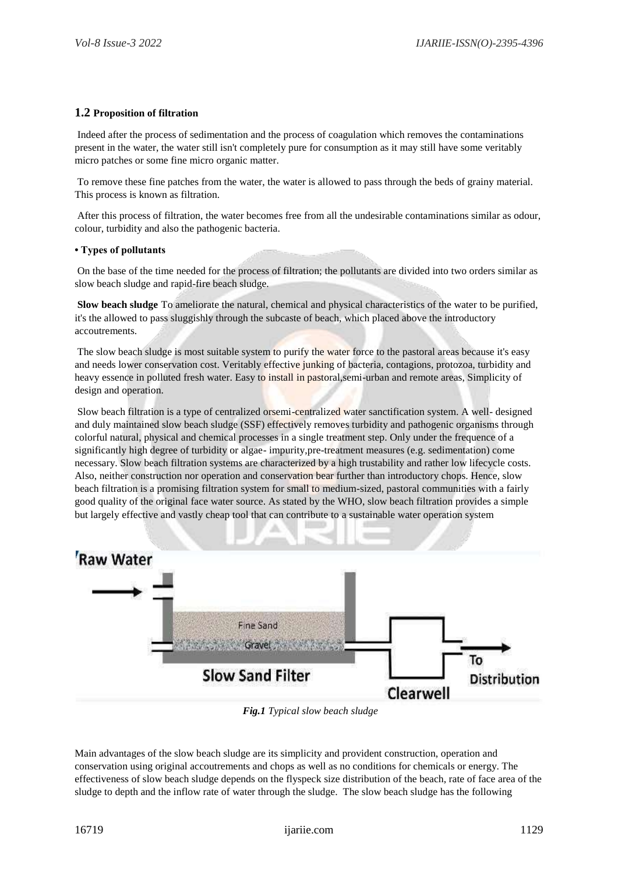# **1.2 Proposition of filtration**

Indeed after the process of sedimentation and the process of coagulation which removes the contaminations present in the water, the water still isn't completely pure for consumption as it may still have some veritably micro patches or some fine micro organic matter.

To remove these fine patches from the water, the water is allowed to pass through the beds of grainy material. This process is known as filtration.

After this process of filtration, the water becomes free from all the undesirable contaminations similar as odour, colour, turbidity and also the pathogenic bacteria.

#### **• Types of pollutants**

On the base of the time needed for the process of filtration; the pollutants are divided into two orders similar as slow beach sludge and rapid-fire beach sludge.

**Slow beach sludge** To ameliorate the natural, chemical and physical characteristics of the water to be purified, it's the allowed to pass sluggishly through the subcaste of beach, which placed above the introductory accoutrements.

The slow beach sludge is most suitable system to purify the water force to the pastoral areas because it's easy and needs lower conservation cost. Veritably effective junking of bacteria, contagions, protozoa, turbidity and heavy essence in polluted fresh water. Easy to install in pastoral,semi-urban and remote areas, Simplicity of design and operation.

Slow beach filtration is a type of centralized orsemi-centralized water sanctification system. A well- designed and duly maintained slow beach sludge (SSF) effectively removes turbidity and pathogenic organisms through colorful natural, physical and chemical processes in a single treatment step. Only under the frequence of a significantly high degree of turbidity or algae- impurity,pre-treatment measures (e.g. sedimentation) come necessary. Slow beach filtration systems are characterized by a high trustability and rather low lifecycle costs. Also, neither construction nor operation and conservation bear further than introductory chops. Hence, slow beach filtration is a promising filtration system for small to medium-sized, pastoral communities with a fairly good quality of the original face water source. As stated by the WHO, slow beach filtration provides a simple but largely effective and vastly cheap tool that can contribute to a sustainable water operation system



*Fig.1 Typical slow beach sludge*

Main advantages of the slow beach sludge are its simplicity and provident construction, operation and conservation using original accoutrements and chops as well as no conditions for chemicals or energy. The effectiveness of slow beach sludge depends on the flyspeck size distribution of the beach, rate of face area of the sludge to depth and the inflow rate of water through the sludge. The slow beach sludge has the following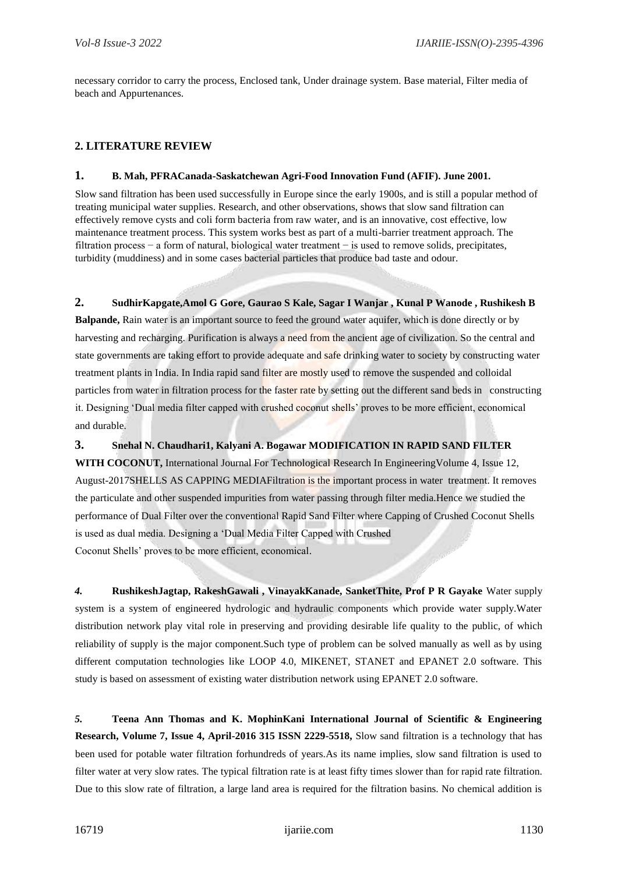necessary corridor to carry the process, Enclosed tank, Under drainage system. Base material, Filter media of beach and Appurtenances.

# **2. LITERATURE REVIEW**

#### **1. B. Mah, PFRACanada-Saskatchewan Agri-Food Innovation Fund (AFIF). June 2001.**

Slow sand filtration has been used successfully in Europe since the early 1900s, and is still a popular method of treating municipal water supplies. Research, and other observations, shows that slow sand filtration can effectively remove cysts and coli form bacteria from raw water, and is an innovative, cost effective, low maintenance treatment process. This system works best as part of a multi-barrier treatment approach. The filtration process − a form of natural, biological water treatment − is used to remove solids, precipitates, turbidity (muddiness) and in some cases bacterial particles that produce bad taste and odour.

**2. SudhirKapgate,Amol G Gore, Gaurao S Kale, Sagar I Wanjar , Kunal P Wanode , Rushikesh B Balpande,** Rain water is an important source to feed the ground water aquifer, which is done directly or by harvesting and recharging. Purification is always a need from the ancient age of civilization. So the central and state governments are taking effort to provide adequate and safe drinking water to society by constructing water treatment plants in India. In India rapid sand filter are mostly used to remove the suspended and colloidal particles from water in filtration process for the faster rate by setting out the different sand beds in constructing it. Designing 'Dual media filter capped with crushed coconut shells' proves to be more efficient, economical and durable.

**3. Snehal N. Chaudhari1, Kalyani A. Bogawar MODIFICATION IN RAPID SAND FILTER WITH COCONUT,** International Journal For Technological Research In EngineeringVolume 4, Issue 12, August-2017SHELLS AS CAPPING MEDIAFiltration is the important process in water treatment. It removes the particulate and other suspended impurities from water passing through filter media.Hence we studied the performance of Dual Filter over the conventional Rapid Sand Filter where Capping of Crushed Coconut Shells is used as dual media. Designing a 'Dual Media Filter Capped with Crushed Coconut Shells' proves to be more efficient, economical.

*4.* **RushikeshJagtap, RakeshGawali , VinayakKanade, SanketThite, Prof P R Gayake** Water supply system is a system of engineered hydrologic and hydraulic components which provide water supply.Water distribution network play vital role in preserving and providing desirable life quality to the public, of which reliability of supply is the major component.Such type of problem can be solved manually as well as by using different computation technologies like LOOP 4.0, MIKENET, STANET and EPANET 2.0 software. This study is based on assessment of existing water distribution network using EPANET 2.0 software.

*5.* **Teena Ann Thomas and K. MophinKani International Journal of Scientific & Engineering Research, Volume 7, Issue 4, April-2016 315 ISSN 2229-5518,** Slow sand filtration is a technology that has been used for potable water filtration forhundreds of years.As its name implies, slow sand filtration is used to filter water at very slow rates. The typical filtration rate is at least fifty times slower than for rapid rate filtration. Due to this slow rate of filtration, a large land area is required for the filtration basins. No chemical addition is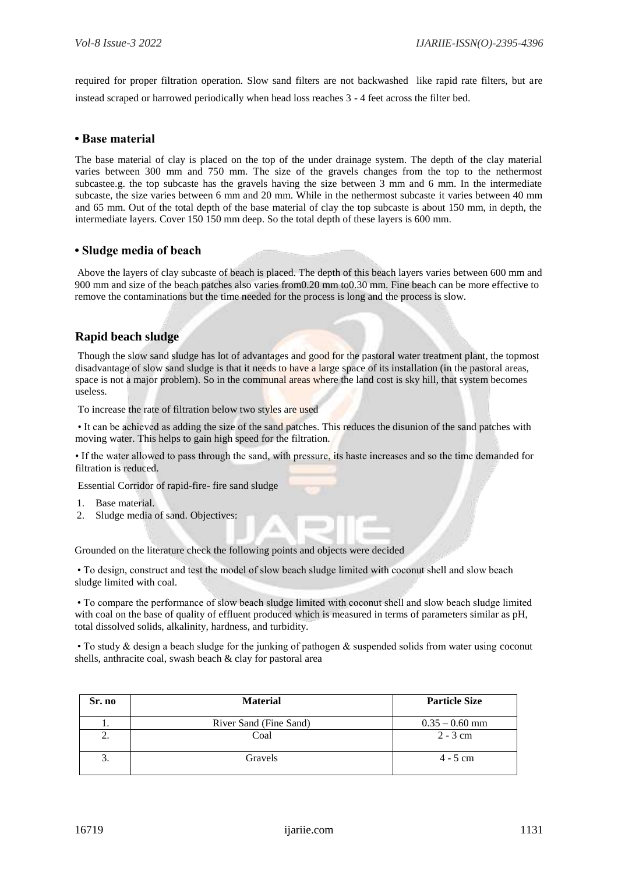required for proper filtration operation. Slow sand filters are not backwashed like rapid rate filters, but are instead scraped or harrowed periodically when head loss reaches 3 - 4 feet across the filter bed.

#### **• Base material**

The base material of clay is placed on the top of the under drainage system. The depth of the clay material varies between 300 mm and 750 mm. The size of the gravels changes from the top to the nethermost subcastee.g. the top subcaste has the gravels having the size between 3 mm and 6 mm. In the intermediate subcaste, the size varies between 6 mm and 20 mm. While in the nethermost subcaste it varies between 40 mm and 65 mm. Out of the total depth of the base material of clay the top subcaste is about 150 mm, in depth, the intermediate layers. Cover 150 150 mm deep. So the total depth of these layers is 600 mm.

#### **• Sludge media of beach**

Above the layers of clay subcaste of beach is placed. The depth of this beach layers varies between 600 mm and 900 mm and size of the beach patches also varies from0.20 mm to0.30 mm. Fine beach can be more effective to remove the contaminations but the time needed for the process is long and the process is slow.

# **Rapid beach sludge**

Though the slow sand sludge has lot of advantages and good for the pastoral water treatment plant, the topmost disadvantage of slow sand sludge is that it needs to have a large space of its installation (in the pastoral areas, space is not a major problem). So in the communal areas where the land cost is sky hill, that system becomes useless.

To increase the rate of filtration below two styles are used

• It can be achieved as adding the size of the sand patches. This reduces the disunion of the sand patches with moving water. This helps to gain high speed for the filtration.

• If the water allowed to pass through the sand, with pressure, its haste increases and so the time demanded for filtration is reduced.

Essential Corridor of rapid-fire- fire sand sludge

- Base material.
- 2. Sludge media of sand. Objectives:

Grounded on the literature check the following points and objects were decided

• To design, construct and test the model of slow beach sludge limited with coconut shell and slow beach sludge limited with coal.

• To compare the performance of slow beach sludge limited with coconut shell and slow beach sludge limited with coal on the base of quality of effluent produced which is measured in terms of parameters similar as pH, total dissolved solids, alkalinity, hardness, and turbidity.

• To study & design a beach sludge for the junking of pathogen & suspended solids from water using coconut shells, anthracite coal, swash beach & clay for pastoral area

| Sr. no | <b>Material</b>        | <b>Particle Size</b> |
|--------|------------------------|----------------------|
|        | River Sand (Fine Sand) | $0.35 - 0.60$ mm     |
| ۷.     | Coal                   | $2 - 3$ cm           |
| Ć.     | Gravels                | $4 - 5$ cm           |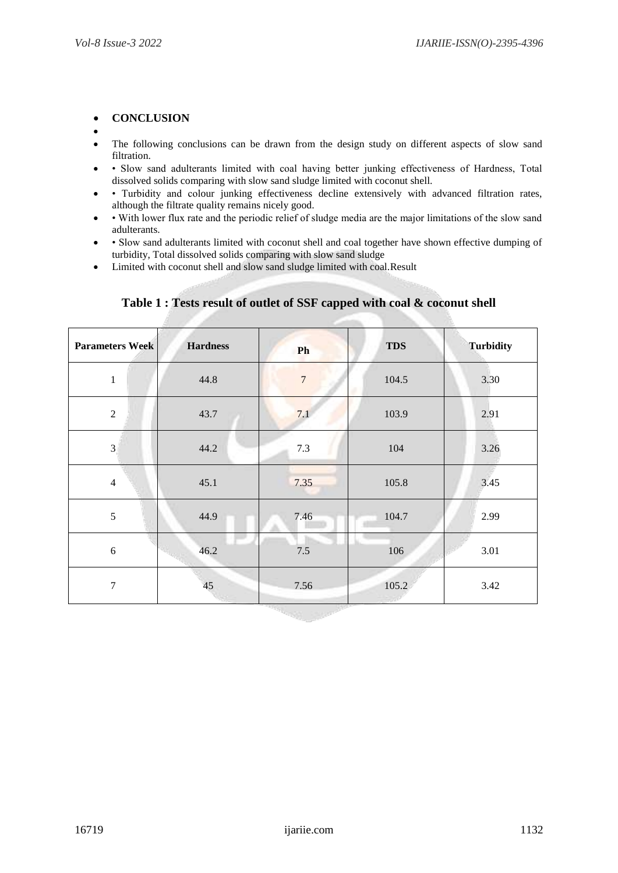#### **CONCLUSION**

- $\bullet$ • The following conclusions can be drawn from the design study on different aspects of slow sand filtration.
- Slow sand adulterants limited with coal having better junking effectiveness of Hardness, Total dissolved solids comparing with slow sand sludge limited with coconut shell.
- Turbidity and colour junking effectiveness decline extensively with advanced filtration rates, although the filtrate quality remains nicely good.
- With lower flux rate and the periodic relief of sludge media are the major limitations of the slow sand adulterants.
- Slow sand adulterants limited with coconut shell and coal together have shown effective dumping of turbidity, Total dissolved solids comparing with slow sand sludge
- Limited with coconut shell and slow sand sludge limited with coal.Result

| <b>Parameters Week</b> | <b>Hardness</b> | Ph               | <b>TDS</b> | <b>Turbidity</b> |  |
|------------------------|-----------------|------------------|------------|------------------|--|
| $\mathbf{1}$           | 44.8            | $\boldsymbol{7}$ | 104.5      | 3.30             |  |
| $\sqrt{2}$             | 43.7            | 7.1              | 103.9      | 2.91             |  |
| $\mathfrak{Z}$         | 44.2            | 7.3              | 104        | 3.26             |  |
| $\overline{4}$         | 45.1            | 7.35             | 105.8      | 3.45             |  |
| 5                      | 44.9            | 7.46             | 104.7      | 2.99             |  |
| $\sqrt{6}$             | 46.2            | 7.5              | 106        | 3.01             |  |
| $\boldsymbol{7}$       | 45              | 7.56             | 105.2      | 3.42             |  |
|                        |                 |                  |            |                  |  |

# **Table 1 : Tests result of outlet of SSF capped with coal & coconut shell**